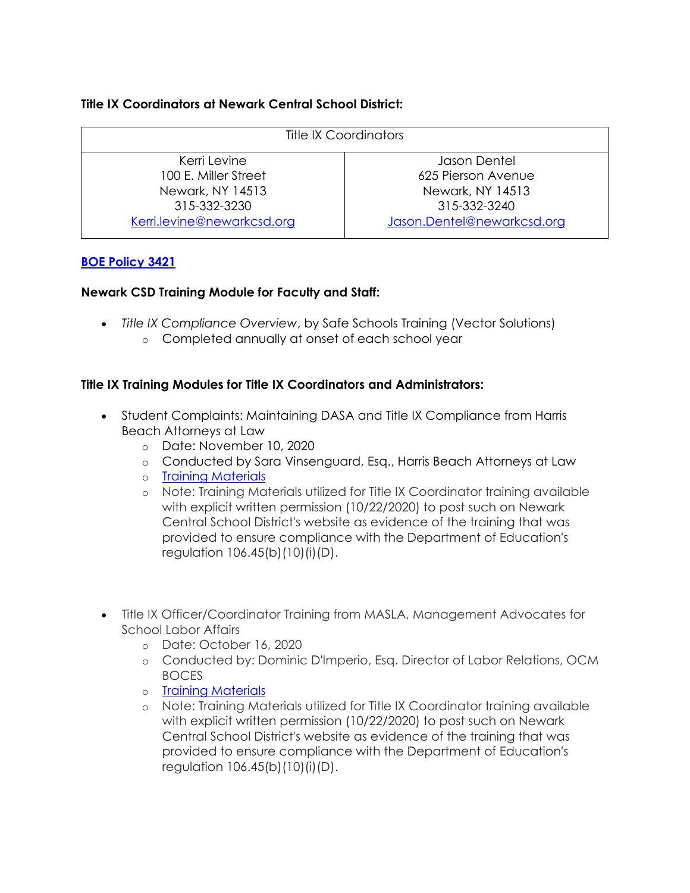## **Title IX Coordinators at Newark Central School District:**

| <b>Title IX Coordinators</b> |                            |
|------------------------------|----------------------------|
| Kerri Levine                 | Jason Dentel               |
| 100 E. Miller Street         | 625 Pierson Avenue         |
| Newark, NY 14513             | Newark, NY 14513           |
| 315-332-3230                 | 315-332-3240               |
| Kerri.levine@newarkcsd.org   | Jason.Dentel@newarkcsd.org |

## **[BOE Policy 3421](https://www.newarkcsd.org/cms/lib/NY01000239/Centricity/Domain/43/3421.pdf)**

#### **Newark CSD Training Module for Faculty and Staff:**

- *Title IX Compliance Overview*, by Safe Schools Training (Vector Solutions)
	- o Completed annually at onset of each school year

## **Title IX Training Modules for Title IX Coordinators and Administrators:**

- Student Complaints: Maintaining DASA and Title IX Compliance from Harris Beach Attorneys at Law
	- o Date: November 10, 2020
	- o Conducted by Sara Vinsenguard, Esq., Harris Beach Attorneys at Law
	- o [Training Materials](https://newarkcsd-my.sharepoint.com/:p:/g/personal/kerri_levine_newarkcsd_org/Edvq9RjM46ZNm-JhoSPjVMsBOEV5Eq3pIyKVTF4IzLm4SA?e=JMORvf)
	- o Note: Training Materials utilized for Title IX Coordinator training available with explicit written permission (10/22/2020) to post such on Newark Central School District's website as evidence of the training that was provided to ensure compliance with the Department of Education's regulation 106.45(b)(10)(i)(D).
- Title IX Officer/Coordinator Training from MASLA, Management Advocates for School Labor Affairs
	- o Date: October 16, 2020
	- o Conducted by: Dominic D'Imperio, Esq. Director of Labor Relations, OCM BOCES
	- o [Training Materials](https://drive.google.com/file/d/1Nwees8bXgaQ8gWx-EOw5ZRS8BWYTwLql/view?usp=sharing)
	- o Note: Training Materials utilized for Title IX Coordinator training available with explicit written permission (10/22/2020) to post such on Newark Central School District's website as evidence of the training that was provided to ensure compliance with the Department of Education's regulation 106.45(b)(10)(i)(D).